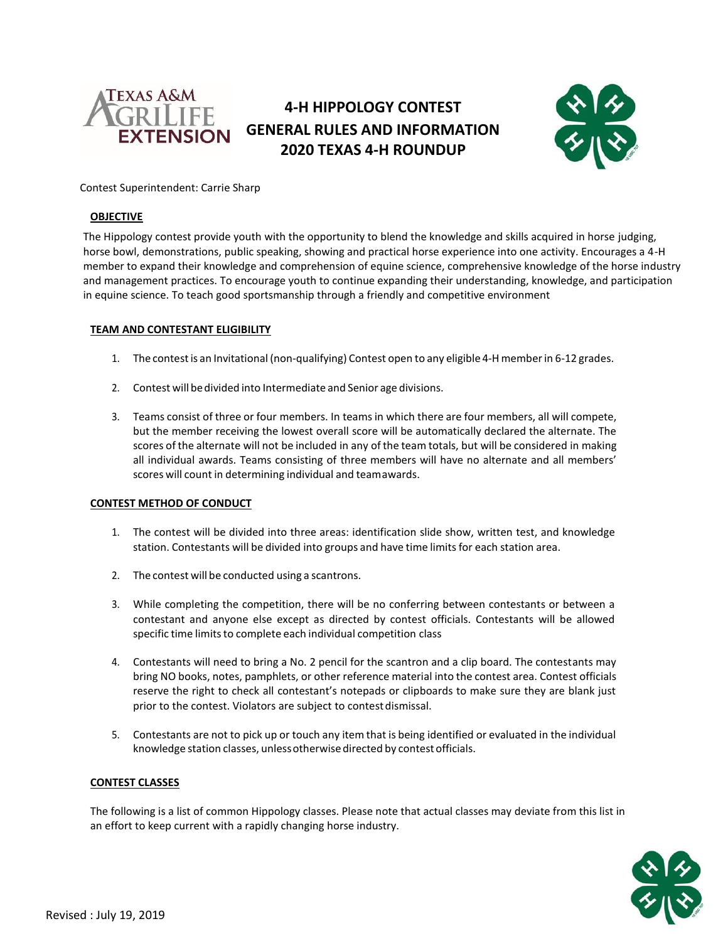

# **4-H HIPPOLOGY CONTEST GENERAL RULES AND INFORMATION 2020 TEXAS 4-H ROUNDUP**



## Contest Superintendent: Carrie Sharp

## **OBJECTIVE**

The Hippology contest provide youth with the opportunity to blend the knowledge and skills acquired in horse judging, horse bowl, demonstrations, public speaking, showing and practical horse experience into one activity. Encourages a 4-H member to expand their knowledge and comprehension of equine science, comprehensive knowledge of the horse industry and management practices. To encourage youth to continue expanding their understanding, knowledge, and participation in equine science. To teach good sportsmanship through a friendly and competitive environment

## **TEAM AND CONTESTANT ELIGIBILITY**

- 1. The contestis an Invitational (non-qualifying) Contest open to any eligible 4-H memberin 6-12 grades.
- 2. Contest will bedivided into Intermediate and Senior age divisions.
- 3. Teams consist of three or four members. In teamsin which there are four members, all will compete, but the member receiving the lowest overall score will be automatically declared the alternate. The scores of the alternate will not be included in any of the team totals, but will be considered in making all individual awards. Teams consisting of three members will have no alternate and all members' scores will count in determining individual and teamawards.

## **CONTEST METHOD OF CONDUCT**

- 1. The contest will be divided into three areas: identification slide show, written test, and knowledge station. Contestants will be divided into groups and have time limits for each station area.
- 2. The contest will be conducted using a scantrons.
- 3. While completing the competition, there will be no conferring between contestants or between a contestant and anyone else except as directed by contest officials. Contestants will be allowed specific time limits to complete each individual competition class
- 4. Contestants will need to bring a No. 2 pencil for the scantron and a clip board. The contestants may bring NO books, notes, pamphlets, or other reference material into the contest area. Contest officials reserve the right to check all contestant's notepads or clipboards to make sure they are blank just prior to the contest. Violators are subject to contest dismissal.
- 5. Contestants are not to pick up or touch any item that is being identified or evaluated in the individual knowledge station classes, unlessotherwise directed by contest officials.

## **CONTEST CLASSES**

The following is a list of common Hippology classes. Please note that actual classes may deviate from this list in an effort to keep current with a rapidly changing horse industry.

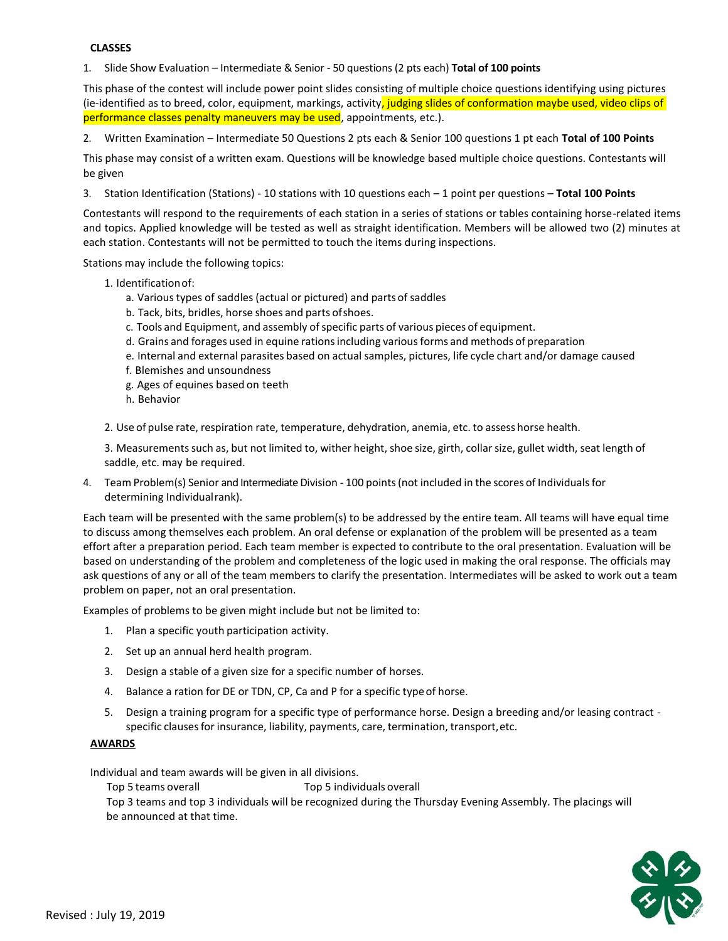#### **CLASSES**

1. Slide Show Evaluation – Intermediate & Senior - 50 questions (2 pts each) **Total of 100 points**

This phase of the contest will include power point slides consisting of multiple choice questions identifying using pictures (ie-identified as to breed, color, equipment, markings, activity, judging slides of conformation maybe used, video clips of performance classes penalty maneuvers may be used, appointments, etc.).

2. Written Examination – Intermediate 50 Questions 2 pts each & Senior 100 questions 1 pt each **Total of 100 Points**

This phase may consist of a written exam. Questions will be knowledge based multiple choice questions. Contestants will be given

3. Station Identification (Stations) - 10 stations with 10 questions each – 1 point per questions – **Total 100 Points**

Contestants will respond to the requirements of each station in a series of stations or tables containing horse-related items and topics. Applied knowledge will be tested as well as straight identification. Members will be allowed two (2) minutes at each station. Contestants will not be permitted to touch the items during inspections.

Stations may include the following topics:

- 1. Identificationof:
	- a. Various types of saddles (actual or pictured) and parts of saddles
	- b. Tack, bits, bridles, horse shoes and parts ofshoes.
	- c. Tools and Equipment, and assembly of specific parts of various pieces of equipment.
	- d. Grains and forages used in equine rationsincluding variousforms and methods of preparation
	- e. Internal and external parasites based on actual samples, pictures, life cycle chart and/or damage caused
	- f. Blemishes and unsoundness
	- g. Ages of equines based on teeth
	- h. Behavior

2. Use of pulse rate, respiration rate, temperature, dehydration, anemia, etc. to assess horse health.

3. Measurementssuch as, but not limited to, wither height, shoe size, girth, collarsize, gullet width, seat length of saddle, etc. may be required.

4. Team Problem(s) Senior and Intermediate Division - 100 points(not included in the scores of Individualsfor determining Individualrank).

Each team will be presented with the same problem(s) to be addressed by the entire team. All teams will have equal time to discuss among themselves each problem. An oral defense or explanation of the problem will be presented as a team effort after a preparation period. Each team member is expected to contribute to the oral presentation. Evaluation will be based on understanding of the problem and completeness of the logic used in making the oral response. The officials may ask questions of any or all of the team members to clarify the presentation. Intermediates will be asked to work out a team problem on paper, not an oral presentation.

Examples of problems to be given might include but not be limited to:

- 1. Plan a specific youth participation activity.
- 2. Set up an annual herd health program.
- 3. Design a stable of a given size for a specific number of horses.
- 4. Balance a ration for DE or TDN, CP, Ca and P for a specific typeof horse.
- 5. Design a training program for a specific type of performance horse. Design a breeding and/or leasing contract specific clausesfor insurance, liability, payments, care, termination, transport,etc.

## **AWARDS**

Individual and team awards will be given in all divisions.

Top 5 teams overall Top 5 individuals overall

Top 3 teams and top 3 individuals will be recognized during the Thursday Evening Assembly. The placings will be announced at that time.